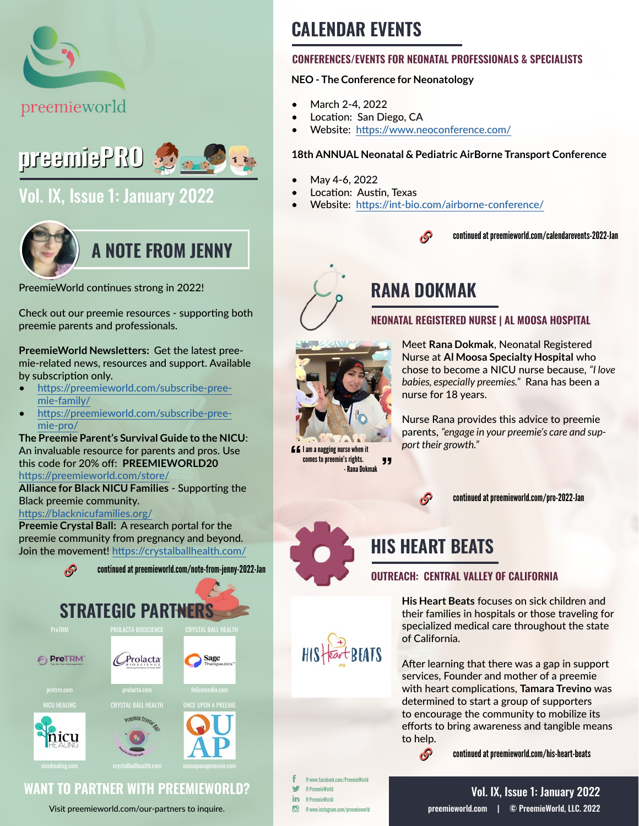



# [Vol. IX, Issue 1: January 2022](https://preemieworld.com/preemie-pro-digital-issues/)



PreemieWorld continues strong in 2022!

Check out our preemie resources - supporting both preemie parents and professionals.

**PreemieWorld Newsletters:** Get the latest preemie-related news, resources and support. Available by subscription only.

- [https://preemieworld.com/subscribe-pree](https://preemieworld.com/subscribe-preemie-family/)[mie-family/](https://preemieworld.com/subscribe-preemie-family/)
- [https://preemieworld.com/subscribe-pree](https://preemieworld.com/subscribe-preemie-pro/)[mie-pro/](https://preemieworld.com/subscribe-preemie-pro/)

**The Preemie Parent's Survival Guide to the NICU**: An invaluable resource for parents and pros. Use this code for 20% off: **PREEMIEWORLD20** <https://preemieworld.com/store/>

**Alliance for Black NICU Families** - Supporting the Black preemie community.

<https://blacknicufamilies.org/>

**Preemie Crystal Ball:** A research portal for the preemie community from pregnancy and beyond. Join the movement!<https://crystalballhealth.com/>



# **CALENDAR EVENTS**

### **CONFERENCES/EVENTS FOR NEONATAL PROFESSIONALS & SPECIALISTS**

### **NEO - The Conference for Neonatology**

- March 2-4, 2022
- Location: San Diego, CA
- Website: <https://www.neoconference.com/>

### **18th ANNUAL Neonatal & Pediatric AirBorne Transport Conference**

- May 4-6, 2022
- Location: Austin, Texas
- Website: <https://int-bio.com/airborne-conference/>



continued at [preemieworld.com/calendarevents-2022-Jan](https://preemieworld.com/calendarevents-2022-Jan)



# **RANA DOKMAK**

### **NEONATAL REGISTERED NURSE | AL MOOSA HOSPITAL**



 $\blacksquare$  I am a nagging nurse when it comes to preemie's rights.

- Rana Dokmak

"

Meet **Rana Dokmak**, Neonatal Registered Nurse at **Al Moosa Specialty Hospital** who chose to become a NICU nurse because, *"I love babies, especially preemies."* Rana has been a nurse for 18 years.

Nurse Rana provides this advice to preemie parents, *"engage in your preemie's care and support their growth."*



continued at [preemieworld.com/pro-2022-Jan](https://preemieworld.com/pro-2022-Jan)

# **HIS HEART BEATS**

<sub>t</sub>P

### **OUTREACH: CENTRAL VALLEY OF CALIFORNIA**

**His Heart Beats** focuses on sick children and their families in hospitals or those traveling for specialized medical care throughout the state of California.

After learning that there was a gap in support services, Founder and mother of a preemie with heart complications, **Tamara Trevino** was determined to start a group of supporters to encourage the community to mobilize its efforts to bring awareness and tangible means to help.

continued at [preemieworld.com/h](https://preemieworld.com/his-heart-beats)is-heart-beats

@ www.facebook.com/PreemieWorld @ PreemieWorld in. @ PreemieWorld  $\overline{G}$ @ www.instagram.com/preemieworld

Visit [preemieworld.com/our-partners](https://preemieworld.com/our-partners) to inquire.